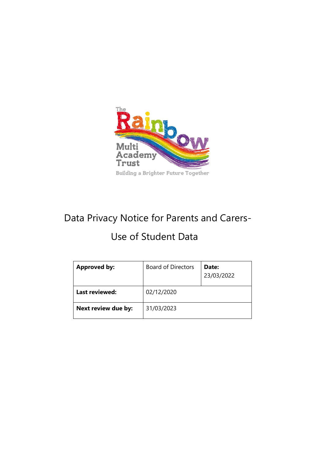

# Data Privacy Notice for Parents and Carers-

## Use of Student Data

| <b>Approved by:</b> | <b>Board of Directors</b> | Date:<br>23/03/2022 |
|---------------------|---------------------------|---------------------|
| Last reviewed:      | 02/12/2020                |                     |
| Next review due by: | 31/03/2023                |                     |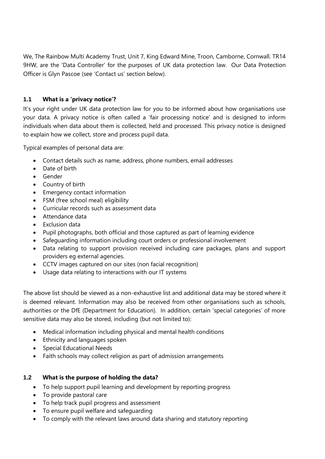We, The Rainbow Multi Academy Trust, Unit 7, King Edward Mine, Troon, Camborne, Cornwall. TR14 9HW, are the 'Data Controller' for the purposes of UK data protection law. Our Data Protection Officer is Glyn Pascoe (see 'Contact us' section below).

### **1.1 What is a 'privacy notice'?**

It's your right under UK data protection law for you to be informed about how organisations use your data. A privacy notice is often called a 'fair processing notice' and is designed to inform individuals when data about them is collected, held and processed. This privacy notice is designed to explain how we collect, store and process pupil data.

Typical examples of personal data are:

- Contact details such as name, address, phone numbers, email addresses
- Date of birth
- Gender
- Country of birth
- Emergency contact information
- FSM (free school meal) eligibility
- Curricular records such as assessment data
- Attendance data
- Exclusion data
- Pupil photographs, both official and those captured as part of learning evidence
- Safeguarding information including court orders or professional involvement
- Data relating to support provision received including care packages, plans and support providers eg external agencies.
- CCTV images captured on our sites (non facial recognition)
- Usage data relating to interactions with our IT systems

The above list should be viewed as a non-exhaustive list and additional data may be stored where it is deemed relevant. Information may also be received from other organisations such as schools, authorities or the DfE (Department for Education). In addition, certain 'special categories' of more sensitive data may also be stored, including (but not limited to):

- Medical information including physical and mental health conditions
- Ethnicity and languages spoken
- Special Educational Needs
- Faith schools may collect religion as part of admission arrangements

#### **1.2 What is the purpose of holding the data?**

- To help support pupil learning and development by reporting progress
- To provide pastoral care
- To help track pupil progress and assessment
- To ensure pupil welfare and safeguarding
- To comply with the relevant laws around data sharing and statutory reporting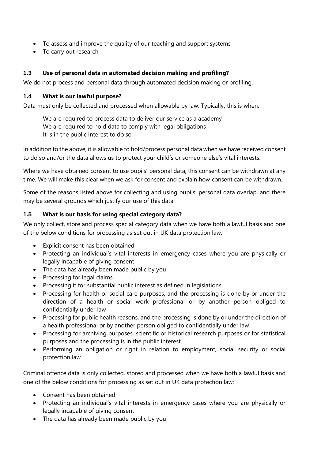- To assess and improve the quality of our teaching and support systems
- To carry out research

### **1.3 Use of personal data in automated decision making and profiling?**

We do not process and personal data through automated decision making or profiling.

#### **1.4 What is our lawful purpose?**

Data must only be collected and processed when allowable by law. Typically, this is when:

- We are required to process data to deliver our service as a academy
- We are required to hold data to comply with legal obligations
- It is in the public interest to do so

In addition to the above, it is allowable to hold/process personal data when we have received consent to do so and/or the data allows us to protect your child's or someone else's vital interests.

Where we have obtained consent to use pupils' personal data, this consent can be withdrawn at any time. We will make this clear when we ask for consent and explain how consent can be withdrawn.

Some of the reasons listed above for collecting and using pupils' personal data overlap, and there may be several grounds which justify our use of this data.

#### **1.5 What is our basis for using special category data?**

We only collect, store and process special category data when we have both a lawful basis and one of the below conditions for processing as set out in UK data protection law:

- Explicit consent has been obtained
- Protecting an individual's vital interests in emergency cases where you are physically or legally incapable of giving consent
- The data has already been made public by you
- Processing for legal claims
- Processing it for substantial public interest as defined in legislations
- Processing for health or social care purposes, and the processing is done by or under the direction of a health or social work professional or by another person obliged to confidentially under law
- Processing for public health reasons, and the processing is done by or under the direction of a health professional or by another person obliged to confidentially under law
- Processing for archiving purposes, scientific or historical research purposes or for statistical purposes and the processing is in the public interest.
- Performing an obligation or right in relation to employment, social security or social protection law

Criminal offence data is only collected, stored and processed when we have both a lawful basis and one of the below conditions for processing as set out in UK data protection law:

- Consent has been obtained
- Protecting an individual's vital interests in emergency cases where you are physically or legally incapable of giving consent
- The data has already been made public by you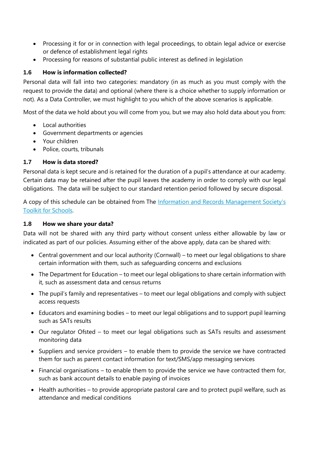- Processing it for or in connection with legal proceedings, to obtain legal advice or exercise or defence of establishment legal rights
- Processing for reasons of substantial public interest as defined in legislation

#### **1.6 How is information collected?**

Personal data will fall into two categories: mandatory (in as much as you must comply with the request to provide the data) and optional (where there is a choice whether to supply information or not). As a Data Controller, we must highlight to you which of the above scenarios is applicable.

Most of the data we hold about you will come from you, but we may also hold data about you from:

- Local authorities
- Government departments or agencies
- Your children
- Police, courts, tribunals

#### **1.7 How is data stored?**

Personal data is kept secure and is retained for the duration of a pupil's attendance at our academy. Certain data may be retained after the pupil leaves the academy in order to comply with our legal obligations. The data will be subject to our standard retention period followed by secure disposal.

A copy of this schedule can be obtained from The [Information and Records Management Society's](http://irms.org.uk/?page=schoolstoolkit&terms=%22toolkit+and+schools%22)  [Toolkit for Schools.](http://irms.org.uk/?page=schoolstoolkit&terms=%22toolkit+and+schools%22)

#### **1.8 How we share your data?**

Data will not be shared with any third party without consent unless either allowable by law or indicated as part of our policies. Assuming either of the above apply, data can be shared with:

- Central government and our local authority (Cornwall) to meet our legal obligations to share certain information with them, such as safeguarding concerns and exclusions
- The Department for Education to meet our legal obligations to share certain information with it, such as assessment data and census returns
- The pupil's family and representatives to meet our legal obligations and comply with subject access requests
- Educators and examining bodies to meet our legal obligations and to support pupil learning such as SATs results
- Our regulator Ofsted to meet our legal obligations such as SATs results and assessment monitoring data
- Suppliers and service providers to enable them to provide the service we have contracted them for such as parent contact information for text/SMS/app messaging services
- Financial organisations to enable them to provide the service we have contracted them for, such as bank account details to enable paying of invoices
- Health authorities to provide appropriate pastoral care and to protect pupil welfare, such as attendance and medical conditions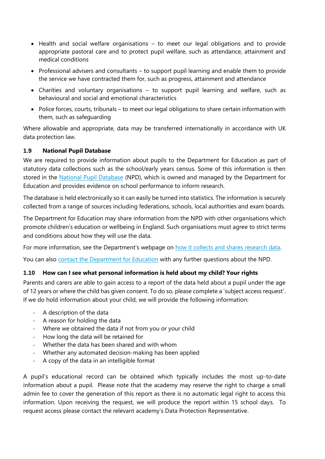- Health and social welfare organisations to meet our legal obligations and to provide appropriate pastoral care and to protect pupil welfare, such as attendance, attainment and medical conditions
- Professional advisers and consultants to support pupil learning and enable them to provide the service we have contracted them for, such as progress, attainment and attendance
- Charities and voluntary organisations to support pupil learning and welfare, such as behavioural and social and emotional characteristics
- Police forces, courts, tribunals to meet our legal obligations to share certain information with them, such as safeguarding

Where allowable and appropriate, data may be transferred internationally in accordance with UK data protection law.

#### **1.9 National Pupil Database**

We are required to provide information about pupils to the Department for Education as part of statutory data collections such as the school/early years census. Some of this information is then stored in the [National Pupil Database](https://www.gov.uk/government/publications/national-pupil-database-user-guide-and-supporting-information) (NPD), which is owned and managed by the Department for Education and provides evidence on school performance to inform research.

The database is held electronically so it can easily be turned into statistics. The information is securely collected from a range of sources including federations, schools, local authorities and exam boards.

The Department for Education may share information from the NPD with other organisations which promote children's education or wellbeing in England. Such organisations must agree to strict terms and conditions about how they will use the data.

For more information, see the Department's webpage on [how it collects and shares research data.](https://www.gov.uk/data-protection-how-we-collect-and-share-research-data)

You can also [contact the Department for Education](https://www.gov.uk/contact-dfe) with any further questions about the NPD.

## **1.10 How can I see what personal information is held about my child? Your rights**

Parents and carers are able to gain access to a report of the data held about a pupil under the age of 12 years or where the child has given consent. To do so, please complete a 'subject access request'. If we do hold information about your child, we will provide the following information:

- A description of the data
- A reason for holding the data
- Where we obtained the data if not from you or your child
- How long the data will be retained for
- Whether the data has been shared and with whom
- Whether any automated decision-making has been applied
- A copy of the data in an intelligible format

A pupil's educational record can be obtained which typically includes the most up-to-date information about a pupil. Please note that the academy may reserve the right to charge a small admin fee to cover the generation of this report as there is no automatic legal right to access this information. Upon receiving the request, we will produce the report within 15 school days. To request access please contact the relevant academy's Data Protection Representative.